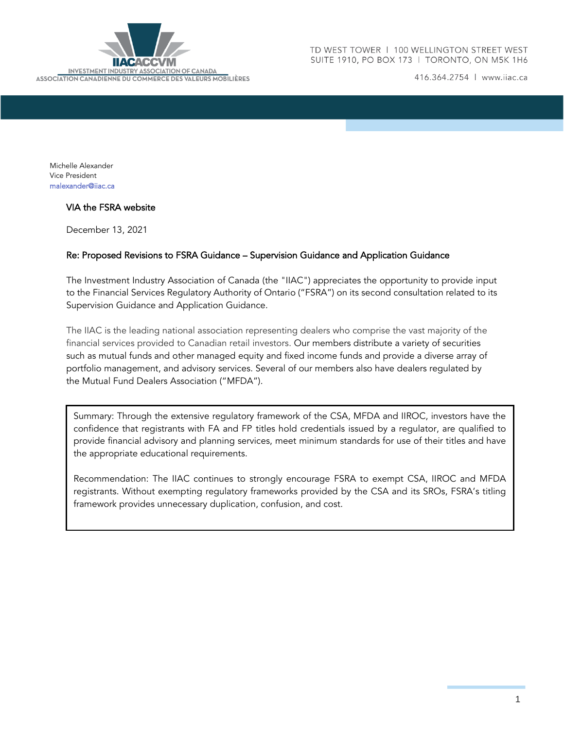

416.364.2754 | www.iiac.ca

Michelle Alexander Vice President [malexander@iiac.ca](mailto:malexander@iiac.ca)

## VIA the FSRA website

December 13, 2021

## Re: Proposed Revisions to FSRA Guidance – Supervision Guidance and Application Guidance

The Investment Industry Association of Canada (the "IIAC") appreciates the opportunity to provide input to the Financial Services Regulatory Authority of Ontario ("FSRA") on its second consultation related to its Supervision Guidance and Application Guidance.

The IIAC is the leading national association representing dealers who comprise the vast majority of the financial services provided to Canadian retail investors. Our members distribute a variety of securities such as mutual funds and other managed equity and fixed income funds and provide a diverse array of portfolio management, and advisory services. Several of our members also have dealers regulated by the Mutual Fund Dealers Association ("MFDA").

Summary: Through the extensive regulatory framework of the CSA, MFDA and IIROC, investors have the confidence that registrants with FA and FP titles hold credentials issued by a regulator, are qualified to provide financial advisory and planning services, meet minimum standards for use of their titles and have the appropriate educational requirements.

Recommendation: The IIAC continues to strongly encourage FSRA to exempt CSA, IIROC and MFDA registrants. Without exempting regulatory frameworks provided by the CSA and its SROs, FSRA's titling framework provides unnecessary duplication, confusion, and cost.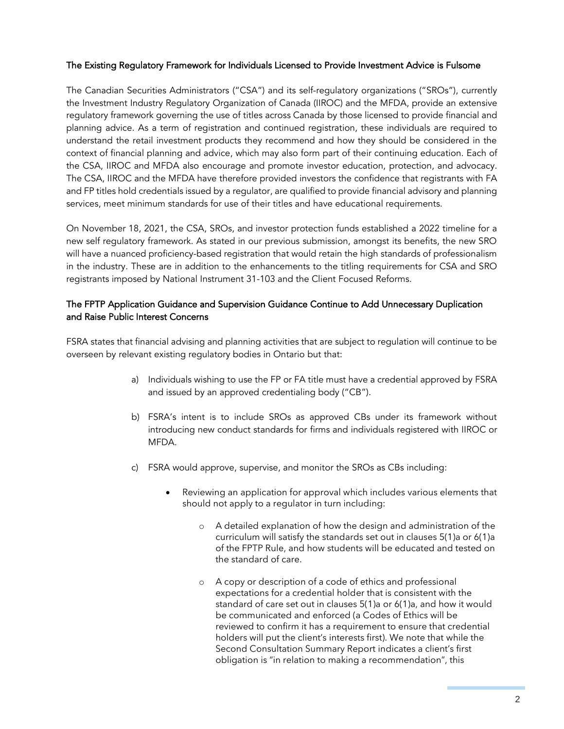## The Existing Regulatory Framework for Individuals Licensed to Provide Investment Advice is Fulsome

The Canadian Securities Administrators ("CSA") and its self-regulatory organizations ("SROs"), currently the Investment Industry Regulatory Organization of Canada (IIROC) and the MFDA, provide an extensive regulatory framework governing the use of titles across Canada by those licensed to provide financial and planning advice. As a term of registration and continued registration, these individuals are required to understand the retail investment products they recommend and how they should be considered in the context of financial planning and advice, which may also form part of their continuing education. Each of the CSA, IIROC and MFDA also encourage and promote investor education, protection, and advocacy. The CSA, IIROC and the MFDA have therefore provided investors the confidence that registrants with FA and FP titles hold credentials issued by a regulator, are qualified to provide financial advisory and planning services, meet minimum standards for use of their titles and have educational requirements.

On November 18, 2021, the CSA, SROs, and investor protection funds established a 2022 timeline for a new self regulatory framework. As stated in our previous submission, amongst its benefits, the new SRO will have a nuanced proficiency-based registration that would retain the high standards of professionalism in the industry. These are in addition to the enhancements to the titling requirements for CSA and SRO registrants imposed by National Instrument 31-103 and the Client Focused Reforms.

# The FPTP Application Guidance and Supervision Guidance Continue to Add Unnecessary Duplication and Raise Public Interest Concerns

FSRA states that financial advising and planning activities that are subject to regulation will continue to be overseen by relevant existing regulatory bodies in Ontario but that:

- a) Individuals wishing to use the FP or FA title must have a credential approved by FSRA and issued by an approved credentialing body ("CB").
- b) FSRA's intent is to include SROs as approved CBs under its framework without introducing new conduct standards for firms and individuals registered with IIROC or MFDA.
- c) FSRA would approve, supervise, and monitor the SROs as CBs including:
	- Reviewing an application for approval which includes various elements that should not apply to a regulator in turn including:
		- o A detailed explanation of how the design and administration of the curriculum will satisfy the standards set out in clauses 5(1)a or 6(1)a of the FPTP Rule, and how students will be educated and tested on the standard of care.
		- o A copy or description of a code of ethics and professional expectations for a credential holder that is consistent with the standard of care set out in clauses 5(1)a or 6(1)a, and how it would be communicated and enforced (a Codes of Ethics will be reviewed to confirm it has a requirement to ensure that credential holders will put the client's interests first). We note that while the Second Consultation Summary Report indicates a client's first obligation is "in relation to making a recommendation", this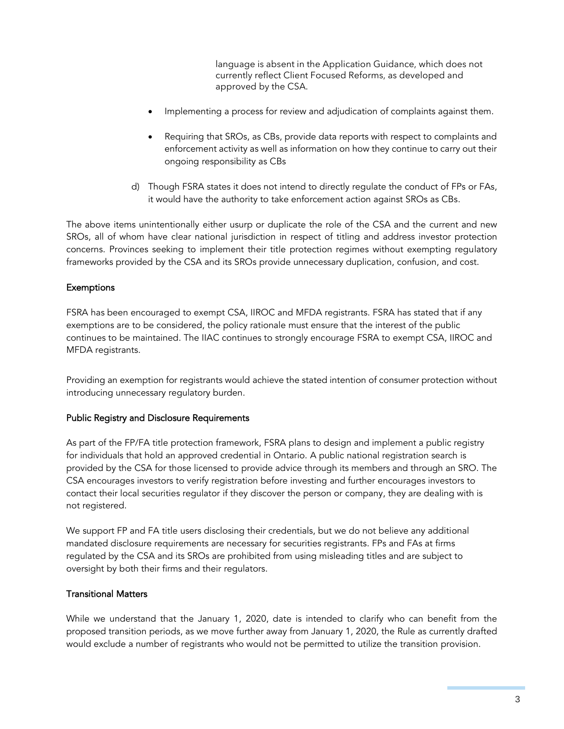language is absent in the Application Guidance, which does not currently reflect Client Focused Reforms, as developed and approved by the CSA.

- Implementing a process for review and adjudication of complaints against them.
- Requiring that SROs, as CBs, provide data reports with respect to complaints and enforcement activity as well as information on how they continue to carry out their ongoing responsibility as CBs
- d) Though FSRA states it does not intend to directly regulate the conduct of FPs or FAs, it would have the authority to take enforcement action against SROs as CBs.

The above items unintentionally either usurp or duplicate the role of the CSA and the current and new SROs, all of whom have clear national jurisdiction in respect of titling and address investor protection concerns. Provinces seeking to implement their title protection regimes without exempting regulatory frameworks provided by the CSA and its SROs provide unnecessary duplication, confusion, and cost.

## Exemptions

FSRA has been encouraged to exempt CSA, IIROC and MFDA registrants. FSRA has stated that if any exemptions are to be considered, the policy rationale must ensure that the interest of the public continues to be maintained. The IIAC continues to strongly encourage FSRA to exempt CSA, IIROC and MFDA registrants.

Providing an exemption for registrants would achieve the stated intention of consumer protection without introducing unnecessary regulatory burden.

## Public Registry and Disclosure Requirements

As part of the FP/FA title protection framework, FSRA plans to design and implement a public registry for individuals that hold an approved credential in Ontario. A public national registration search is provided by the CSA for those licensed to provide advice through its members and through an SRO. The CSA encourages investors to verify registration before investing and further encourages investors to contact their local securities regulator if they discover the person or company, they are dealing with is not registered.

We support FP and FA title users disclosing their credentials, but we do not believe any additional mandated disclosure requirements are necessary for securities registrants. FPs and FAs at firms regulated by the CSA and its SROs are prohibited from using misleading titles and are subject to oversight by both their firms and their regulators.

## Transitional Matters

While we understand that the January 1, 2020, date is intended to clarify who can benefit from the proposed transition periods, as we move further away from January 1, 2020, the Rule as currently drafted would exclude a number of registrants who would not be permitted to utilize the transition provision.